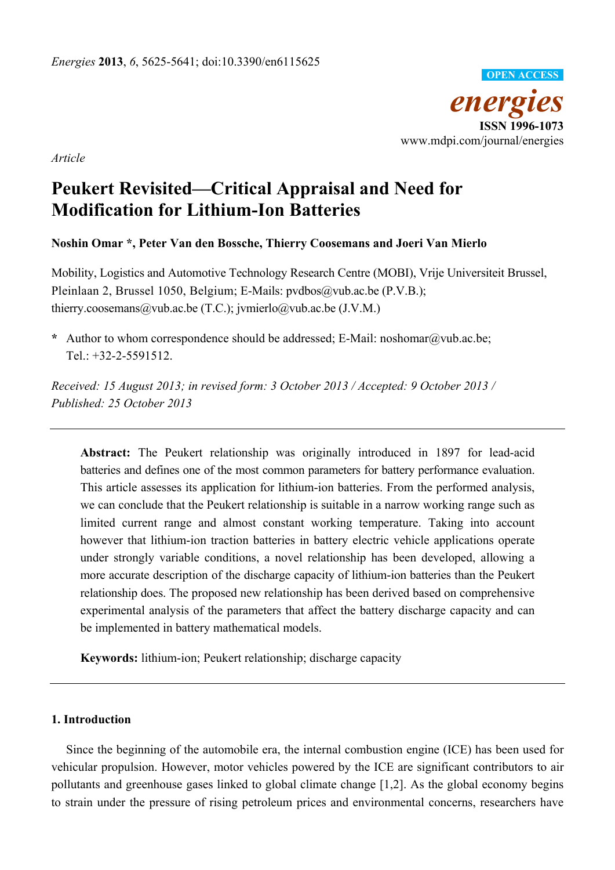

*Article* 

# **Peukert Revisited—Critical Appraisal and Need for Modification for Lithium-Ion Batteries**

## **Noshin Omar \*, Peter Van den Bossche, Thierry Coosemans and Joeri Van Mierlo**

Mobility, Logistics and Automotive Technology Research Centre (MOBI), Vrije Universiteit Brussel, Pleinlaan 2, Brussel 1050, Belgium; E-Mails: pvdbos@vub.ac.be (P.V.B.); thierry.coosemans@vub.ac.be (T.C.); jvmierlo@vub.ac.be (J.V.M.)

**\*** Author to whom correspondence should be addressed; E-Mail: noshomar@vub.ac.be; Tel.: +32-2-5591512.

*Received: 15 August 2013; in revised form: 3 October 2013 / Accepted: 9 October 2013 / Published: 25 October 2013* 

**Abstract:** The Peukert relationship was originally introduced in 1897 for lead-acid batteries and defines one of the most common parameters for battery performance evaluation. This article assesses its application for lithium-ion batteries. From the performed analysis, we can conclude that the Peukert relationship is suitable in a narrow working range such as limited current range and almost constant working temperature. Taking into account however that lithium-ion traction batteries in battery electric vehicle applications operate under strongly variable conditions, a novel relationship has been developed, allowing a more accurate description of the discharge capacity of lithium-ion batteries than the Peukert relationship does. The proposed new relationship has been derived based on comprehensive experimental analysis of the parameters that affect the battery discharge capacity and can be implemented in battery mathematical models.

**Keywords:** lithium-ion; Peukert relationship; discharge capacity

### **1. Introduction**

Since the beginning of the automobile era, the internal combustion engine (ICE) has been used for vehicular propulsion. However, motor vehicles powered by the ICE are significant contributors to air pollutants and greenhouse gases linked to global climate change [1,2]. As the global economy begins to strain under the pressure of rising petroleum prices and environmental concerns, researchers have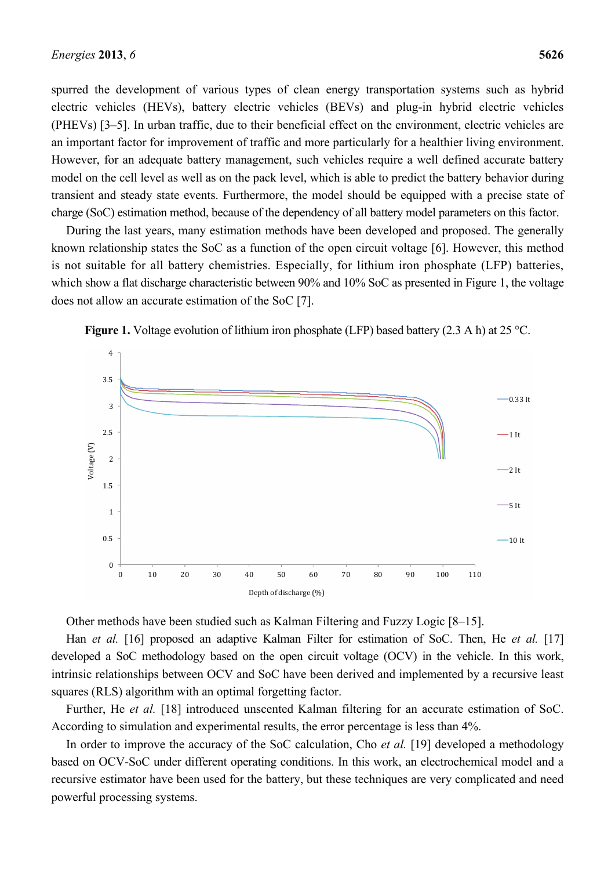spurred the development of various types of clean energy transportation systems such as hybrid electric vehicles (HEVs), battery electric vehicles (BEVs) and plug-in hybrid electric vehicles (PHEVs) [3–5]. In urban traffic, due to their beneficial effect on the environment, electric vehicles are an important factor for improvement of traffic and more particularly for a healthier living environment. However, for an adequate battery management, such vehicles require a well defined accurate battery model on the cell level as well as on the pack level, which is able to predict the battery behavior during transient and steady state events. Furthermore, the model should be equipped with a precise state of charge (SoC) estimation method, because of the dependency of all battery model parameters on this factor.

During the last years, many estimation methods have been developed and proposed. The generally known relationship states the SoC as a function of the open circuit voltage [6]. However, this method is not suitable for all battery chemistries. Especially, for lithium iron phosphate (LFP) batteries, which show a flat discharge characteristic between 90% and 10% SoC as presented in Figure 1, the voltage does not allow an accurate estimation of the SoC [7].



**Figure 1.** Voltage evolution of lithium iron phosphate (LFP) based battery (2.3 A h) at 25 °C.

Other methods have been studied such as Kalman Filtering and Fuzzy Logic [8–15].

Han *et al.* [16] proposed an adaptive Kalman Filter for estimation of SoC. Then, He *et al.* [17] developed a SoC methodology based on the open circuit voltage (OCV) in the vehicle. In this work, intrinsic relationships between OCV and SoC have been derived and implemented by a recursive least squares (RLS) algorithm with an optimal forgetting factor.

Further, He et al. [18] introduced unscented Kalman filtering for an accurate estimation of SoC. According to simulation and experimental results, the error percentage is less than 4%.

In order to improve the accuracy of the SoC calculation, Cho *et al.* [19] developed a methodology based on OCV-SoC under different operating conditions. In this work, an electrochemical model and a recursive estimator have been used for the battery, but these techniques are very complicated and need powerful processing systems.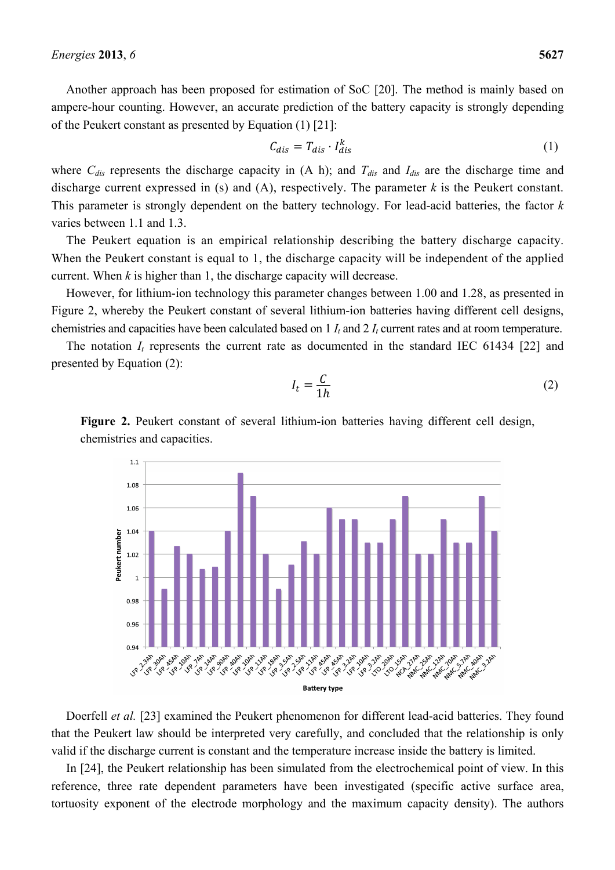Another approach has been proposed for estimation of SoC [20]. The method is mainly based on ampere-hour counting. However, an accurate prediction of the battery capacity is strongly depending of the Peukert constant as presented by Equation (1) [21]:

$$
C_{dis} = T_{dis} \cdot I_{dis}^k \tag{1}
$$

where C<sub>dis</sub> represents the discharge capacity in (A h); and T<sub>dis</sub> and I<sub>dis</sub> are the discharge time and discharge current expressed in (s) and (A), respectively. The parameter *k* is the Peukert constant. This parameter is strongly dependent on the battery technology. For lead-acid batteries, the factor *k* varies between 1.1 and 1.3.

The Peukert equation is an empirical relationship describing the battery discharge capacity. When the Peukert constant is equal to 1, the discharge capacity will be independent of the applied current. When *k* is higher than 1, the discharge capacity will decrease.

However, for lithium-ion technology this parameter changes between 1.00 and 1.28, as presented in Figure 2, whereby the Peukert constant of several lithium-ion batteries having different cell designs, chemistries and capacities have been calculated based on 1 *It* and 2 *It* current rates and at room temperature.

The notation  $I_t$  represents the current rate as documented in the standard IEC 61434 [22] and presented by Equation (2):

$$
I_t = \frac{C}{1h} \tag{2}
$$

**Figure 2.** Peukert constant of several lithium-ion batteries having different cell design, chemistries and capacities.



Doerfell *et al.* [23] examined the Peukert phenomenon for different lead-acid batteries. They found that the Peukert law should be interpreted very carefully, and concluded that the relationship is only valid if the discharge current is constant and the temperature increase inside the battery is limited.

In [24], the Peukert relationship has been simulated from the electrochemical point of view. In this reference, three rate dependent parameters have been investigated (specific active surface area, tortuosity exponent of the electrode morphology and the maximum capacity density). The authors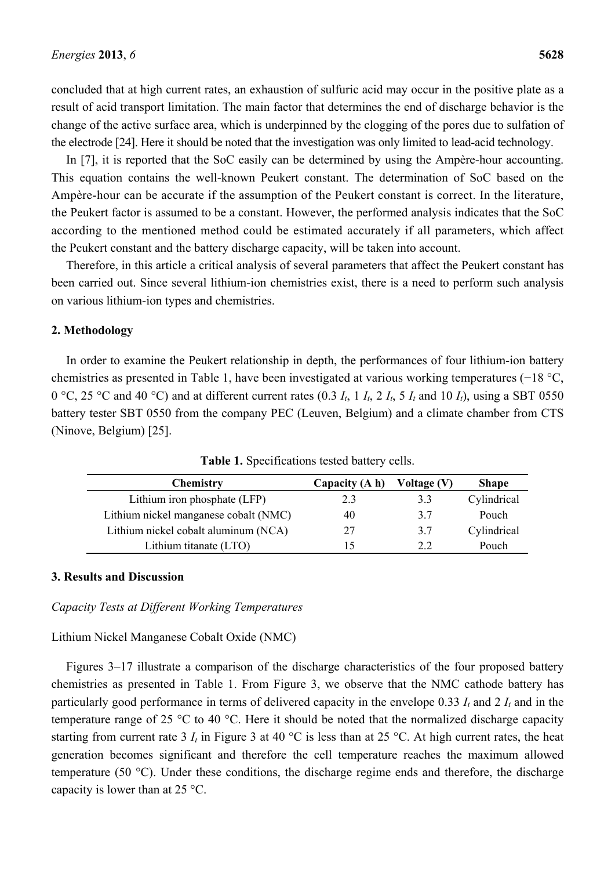concluded that at high current rates, an exhaustion of sulfuric acid may occur in the positive plate as a result of acid transport limitation. The main factor that determines the end of discharge behavior is the change of the active surface area, which is underpinned by the clogging of the pores due to sulfation of the electrode [24]. Here it should be noted that the investigation was only limited to lead-acid technology.

In [7], it is reported that the SoC easily can be determined by using the Ampère-hour accounting. This equation contains the well-known Peukert constant. The determination of SoC based on the Ampère-hour can be accurate if the assumption of the Peukert constant is correct. In the literature, the Peukert factor is assumed to be a constant. However, the performed analysis indicates that the SoC according to the mentioned method could be estimated accurately if all parameters, which affect the Peukert constant and the battery discharge capacity, will be taken into account.

Therefore, in this article a critical analysis of several parameters that affect the Peukert constant has been carried out. Since several lithium-ion chemistries exist, there is a need to perform such analysis on various lithium-ion types and chemistries.

### **2. Methodology**

In order to examine the Peukert relationship in depth, the performances of four lithium-ion battery chemistries as presented in Table 1, have been investigated at various working temperatures (−18 °C, 0 °C, 25 °C and 40 °C) and at different current rates (0.3  $I_t$ , 1  $I_t$ , 2  $I_t$ , 5  $I_t$  and 10  $I_t$ ), using a SBT 0550 battery tester SBT 0550 from the company PEC (Leuven, Belgium) and a climate chamber from CTS (Ninove, Belgium) [25].

| <b>Chemistry</b>                      | Capacity (A h) | Voltage (V) | <b>Shape</b> |
|---------------------------------------|----------------|-------------|--------------|
| Lithium iron phosphate (LFP)          | 2.3            | 3.3         | Cylindrical  |
| Lithium nickel manganese cobalt (NMC) | 40             | 3.7         | Pouch        |
| Lithium nickel cobalt aluminum (NCA)  | 27             | 3.7         | Cylindrical  |
| Lithium titanate (LTO)                |                | っっ          | Pouch        |

**Table 1.** Specifications tested battery cells.

#### **3. Results and Discussion**

*Capacity Tests at Different Working Temperatures* 

#### Lithium Nickel Manganese Cobalt Oxide (NMC)

Figures 3–17 illustrate a comparison of the discharge characteristics of the four proposed battery chemistries as presented in Table 1. From Figure 3, we observe that the NMC cathode battery has particularly good performance in terms of delivered capacity in the envelope 0.33 *It* and 2 *It* and in the temperature range of 25 °C to 40 °C. Here it should be noted that the normalized discharge capacity starting from current rate 3  $I_t$  in Figure 3 at 40 °C is less than at 25 °C. At high current rates, the heat generation becomes significant and therefore the cell temperature reaches the maximum allowed temperature (50 °C). Under these conditions, the discharge regime ends and therefore, the discharge capacity is lower than at 25 °C.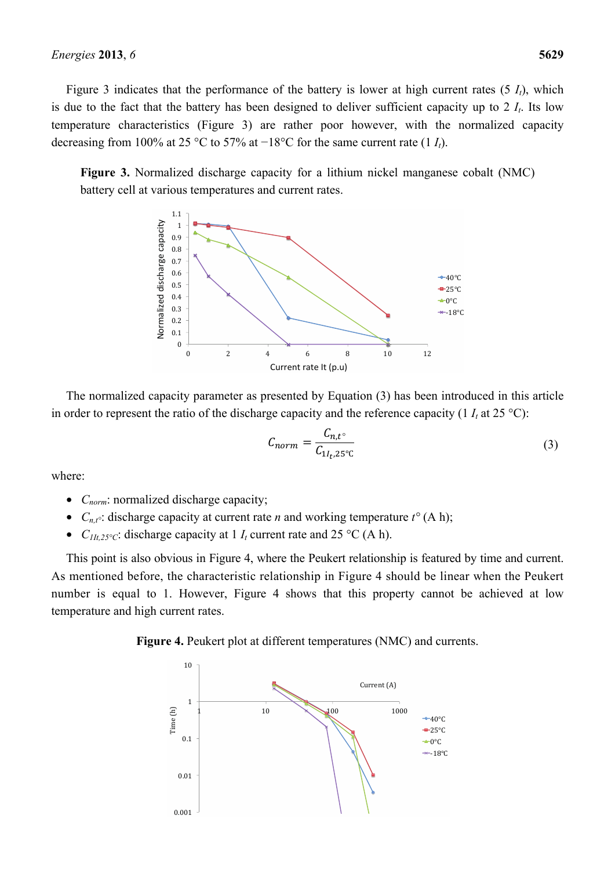Figure 3 indicates that the performance of the battery is lower at high current rates  $(5 I_t)$ , which is due to the fact that the battery has been designed to deliver sufficient capacity up to  $2 I_t$ . Its low temperature characteristics (Figure 3) are rather poor however, with the normalized capacity decreasing from 100% at 25 °C to 57% at −18°C for the same current rate (1 *It*).

**Figure 3.** Normalized discharge capacity for a lithium nickel manganese cobalt (NMC) battery cell at various temperatures and current rates.



The normalized capacity parameter as presented by Equation (3) has been introduced in this article in order to represent the ratio of the discharge capacity and the reference capacity (1  $I_t$  at 25 °C):

$$
C_{norm} = \frac{C_{n,t^{\circ}}}{C_{1I_{t},25^{\circ}C}}
$$
 (3)

where:

- *C<sub>norm</sub>*: normalized discharge capacity;
- $C_{n,t}$ <sup>o</sup>: discharge capacity at current rate *n* and working temperature  $t^{\circ}$  (A h);
- $C_{1/t,25\degree C}$ : discharge capacity at 1  $I_t$  current rate and 25  $\degree$ C (A h).

This point is also obvious in Figure 4, where the Peukert relationship is featured by time and current. As mentioned before, the characteristic relationship in Figure 4 should be linear when the Peukert number is equal to 1. However, Figure 4 shows that this property cannot be achieved at low temperature and high current rates.

#### **Figure 4.** Peukert plot at different temperatures (NMC) and currents.

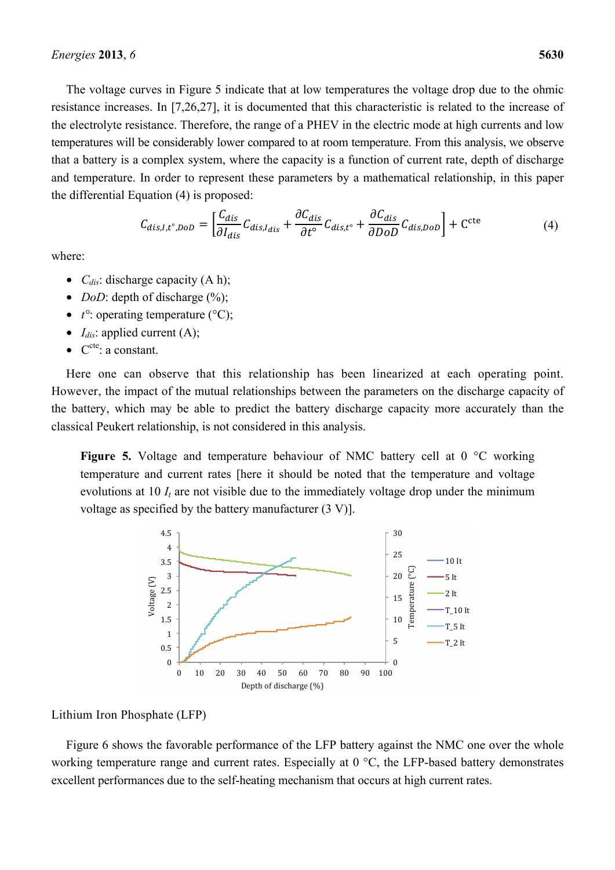The voltage curves in Figure 5 indicate that at low temperatures the voltage drop due to the ohmic resistance increases. In [7,26,27], it is documented that this characteristic is related to the increase of the electrolyte resistance. Therefore, the range of a PHEV in the electric mode at high currents and low temperatures will be considerably lower compared to at room temperature. From this analysis, we observe that a battery is a complex system, where the capacity is a function of current rate, depth of discharge and temperature. In order to represent these parameters by a mathematical relationship, in this paper the differential Equation (4) is proposed:

$$
C_{dis,I,t^{\circ},D_{OD}} = \left[ \frac{C_{dis}}{\partial I_{dis}} C_{dis,I_{dis}} + \frac{\partial C_{dis}}{\partial t^{\circ}} C_{dis,t^{\circ}} + \frac{\partial C_{dis}}{\partial DD} C_{dis,D_{OD}} \right] + C^{\text{cte}} \tag{4}
$$

where:

- $C_{dis}$ : discharge capacity  $(A h)$ ;
- *DoD*: depth of discharge  $(\%)$ ;
- *t*<sup>o</sup>: operating temperature (°C);
- $I_{dis}$ : applied current (A);
- $\bullet$   $C^{cte}$ : a constant.

Here one can observe that this relationship has been linearized at each operating point. However, the impact of the mutual relationships between the parameters on the discharge capacity of the battery, which may be able to predict the battery discharge capacity more accurately than the classical Peukert relationship, is not considered in this analysis.

**Figure 5.** Voltage and temperature behaviour of NMC battery cell at 0 °C working temperature and current rates [here it should be noted that the temperature and voltage evolutions at 10  $I_t$  are not visible due to the immediately voltage drop under the minimum voltage as specified by the battery manufacturer (3 V)].



#### Lithium Iron Phosphate (LFP)

Figure 6 shows the favorable performance of the LFP battery against the NMC one over the whole working temperature range and current rates. Especially at 0 °C, the LFP-based battery demonstrates excellent performances due to the self-heating mechanism that occurs at high current rates.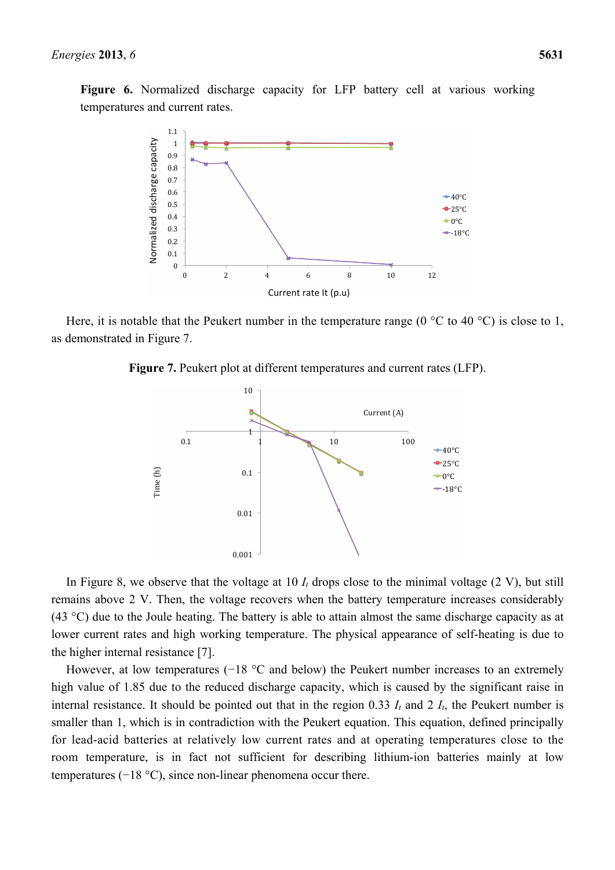**Figure 6.** Normalized discharge capacity for LFP battery cell at various working temperatures and current rates.



Here, it is notable that the Peukert number in the temperature range ( $0^{\circ}$ C to 40  $^{\circ}$ C) is close to 1, as demonstrated in Figure 7.

**Figure 7.** Peukert plot at different temperatures and current rates (LFP).



In Figure 8, we observe that the voltage at 10  $I_t$  drops close to the minimal voltage  $(2 V)$ , but still remains above 2 V. Then, the voltage recovers when the battery temperature increases considerably (43 °C) due to the Joule heating. The battery is able to attain almost the same discharge capacity as at lower current rates and high working temperature. The physical appearance of self-heating is due to the higher internal resistance [7].

However, at low temperatures (−18 °C and below) the Peukert number increases to an extremely high value of 1.85 due to the reduced discharge capacity, which is caused by the significant raise in internal resistance. It should be pointed out that in the region 0.33  $I_t$  and 2  $I_t$ , the Peukert number is smaller than 1, which is in contradiction with the Peukert equation. This equation, defined principally for lead-acid batteries at relatively low current rates and at operating temperatures close to the room temperature, is in fact not sufficient for describing lithium-ion batteries mainly at low temperatures (−18 °C), since non-linear phenomena occur there.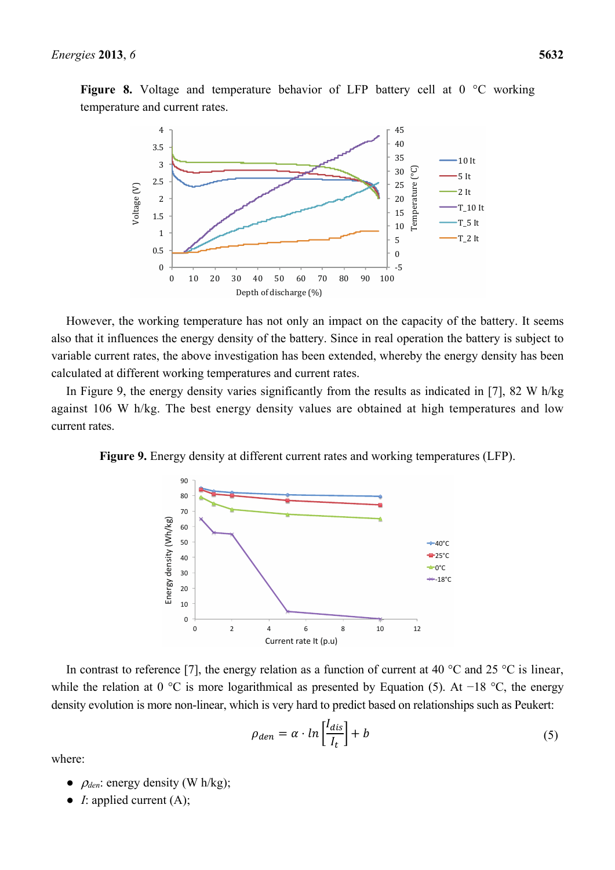**Figure 8.** Voltage and temperature behavior of LFP battery cell at 0 °C working temperature and current rates.



However, the working temperature has not only an impact on the capacity of the battery. It seems also that it influences the energy density of the battery. Since in real operation the battery is subject to variable current rates, the above investigation has been extended, whereby the energy density has been calculated at different working temperatures and current rates.

In Figure 9, the energy density varies significantly from the results as indicated in [7], 82 W h/kg against 106 W h/kg. The best energy density values are obtained at high temperatures and low current rates.

**Figure 9.** Energy density at different current rates and working temperatures (LFP).



In contrast to reference [7], the energy relation as a function of current at 40  $^{\circ}$ C and 25  $^{\circ}$ C is linear, while the relation at 0 °C is more logarithmical as presented by Equation (5). At −18 °C, the energy density evolution is more non-linear, which is very hard to predict based on relationships such as Peukert:

$$
\rho_{den} = \alpha \cdot \ln\left[\frac{I_{dis}}{I_t}\right] + b \tag{5}
$$

where:

- $\rho_{den}$ : energy density (W h/kg);
- *I*: applied current (A);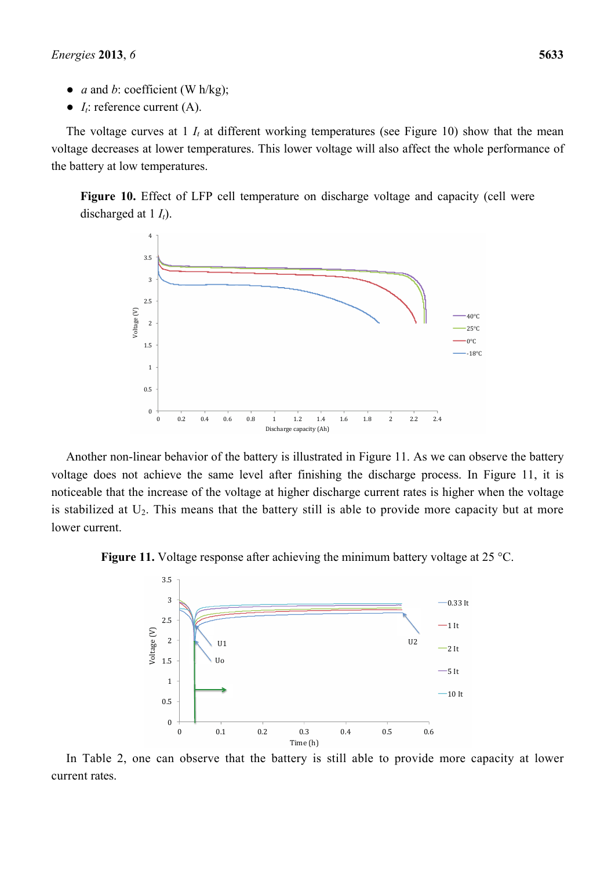- *a* and *b*: coefficient (W h/kg);
- $\bullet$  *I<sub>t</sub>*: reference current (A).

The voltage curves at  $1$   $I_t$  at different working temperatures (see Figure 10) show that the mean voltage decreases at lower temperatures. This lower voltage will also affect the whole performance of the battery at low temperatures.

**Figure 10.** Effect of LFP cell temperature on discharge voltage and capacity (cell were discharged at 1  $I_t$ ).



Another non-linear behavior of the battery is illustrated in Figure 11. As we can observe the battery voltage does not achieve the same level after finishing the discharge process. In Figure 11, it is noticeable that the increase of the voltage at higher discharge current rates is higher when the voltage is stabilized at  $U_2$ . This means that the battery still is able to provide more capacity but at more lower current.





In Table 2, one can observe that the battery is still able to provide more capacity at lower current rates.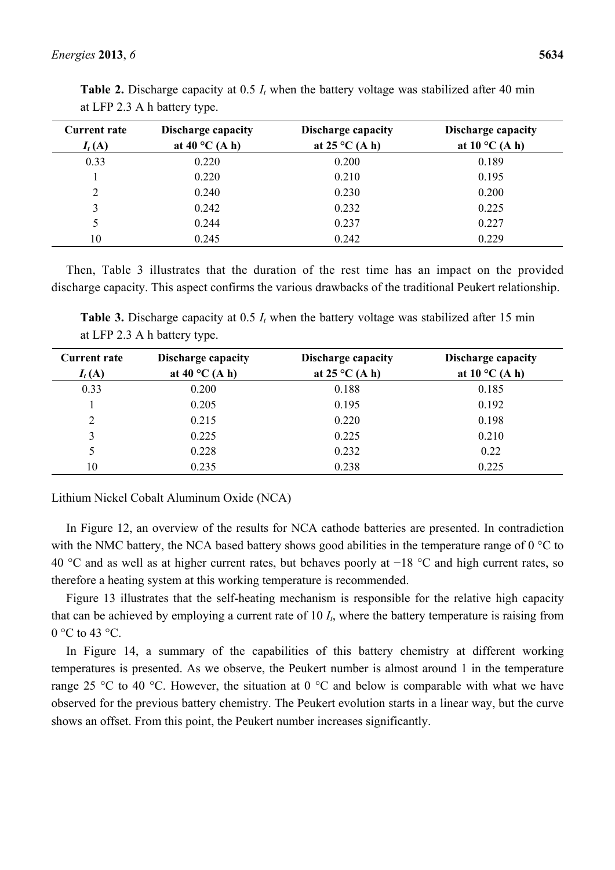| <b>Current rate</b><br>$I_t(A)$ | <b>Discharge capacity</b><br>at 40 $^{\circ}$ C (A h) | <b>Discharge capacity</b><br>at $25^{\circ}$ C (A h) | <b>Discharge capacity</b><br>at $10^{\circ}$ C (A h) |
|---------------------------------|-------------------------------------------------------|------------------------------------------------------|------------------------------------------------------|
| 0.33                            | 0.220                                                 | 0.200                                                | 0.189                                                |
|                                 | 0.220                                                 | 0.210                                                | 0.195                                                |
| 2                               | 0.240                                                 | 0.230                                                | 0.200                                                |
| 3                               | 0.242                                                 | 0.232                                                | 0.225                                                |
| 5                               | 0.244                                                 | 0.237                                                | 0.227                                                |
| 10                              | 0.245                                                 | 0.242                                                | 0.229                                                |

**Table 2.** Discharge capacity at 0.5 *I<sub>t</sub>* when the battery voltage was stabilized after 40 min at LFP 2.3 A h battery type.

Then, Table 3 illustrates that the duration of the rest time has an impact on the provided discharge capacity. This aspect confirms the various drawbacks of the traditional Peukert relationship.

**Table 3.** Discharge capacity at 0.5  $I_t$  when the battery voltage was stabilized after 15 min at LFP 2.3 A h battery type.

| <b>Current rate</b> | <b>Discharge capacity</b> | Discharge capacity      | <b>Discharge capacity</b> |
|---------------------|---------------------------|-------------------------|---------------------------|
| $I_t(A)$            | at 40 $^{\circ}$ C (A h)  | at $25^{\circ}$ C (A h) | at $10^{\circ}$ C (A h)   |
| 0.33                | 0.200                     | 0.188                   | 0.185                     |
|                     | 0.205                     | 0.195                   | 0.192                     |
| 2                   | 0.215                     | 0.220                   | 0.198                     |
| 3                   | 0.225                     | 0.225                   | 0.210                     |
|                     | 0.228                     | 0.232                   | 0.22                      |
| 10                  | 0.235                     | 0.238                   | 0.225                     |

Lithium Nickel Cobalt Aluminum Oxide (NCA)

In Figure 12, an overview of the results for NCA cathode batteries are presented. In contradiction with the NMC battery, the NCA based battery shows good abilities in the temperature range of  $0^{\circ}$ C to 40 °C and as well as at higher current rates, but behaves poorly at −18 °C and high current rates, so therefore a heating system at this working temperature is recommended.

Figure 13 illustrates that the self-heating mechanism is responsible for the relative high capacity that can be achieved by employing a current rate of 10 *It*, where the battery temperature is raising from  $0^{\circ}$ C to 43  $^{\circ}$ C.

In Figure 14, a summary of the capabilities of this battery chemistry at different working temperatures is presented. As we observe, the Peukert number is almost around 1 in the temperature range 25 °C to 40 °C. However, the situation at 0 °C and below is comparable with what we have observed for the previous battery chemistry. The Peukert evolution starts in a linear way, but the curve shows an offset. From this point, the Peukert number increases significantly.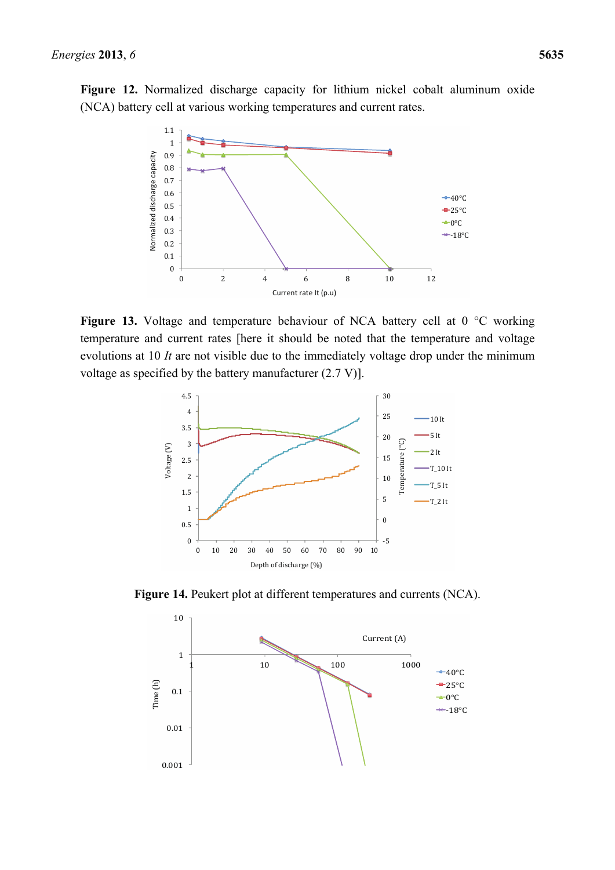**Figure 12.** Normalized discharge capacity for lithium nickel cobalt aluminum oxide (NCA) battery cell at various working temperatures and current rates.



Figure 13. Voltage and temperature behaviour of NCA battery cell at 0 °C working temperature and current rates [here it should be noted that the temperature and voltage evolutions at 10 *It* are not visible due to the immediately voltage drop under the minimum voltage as specified by the battery manufacturer (2.7 V)].



**Figure 14.** Peukert plot at different temperatures and currents (NCA).

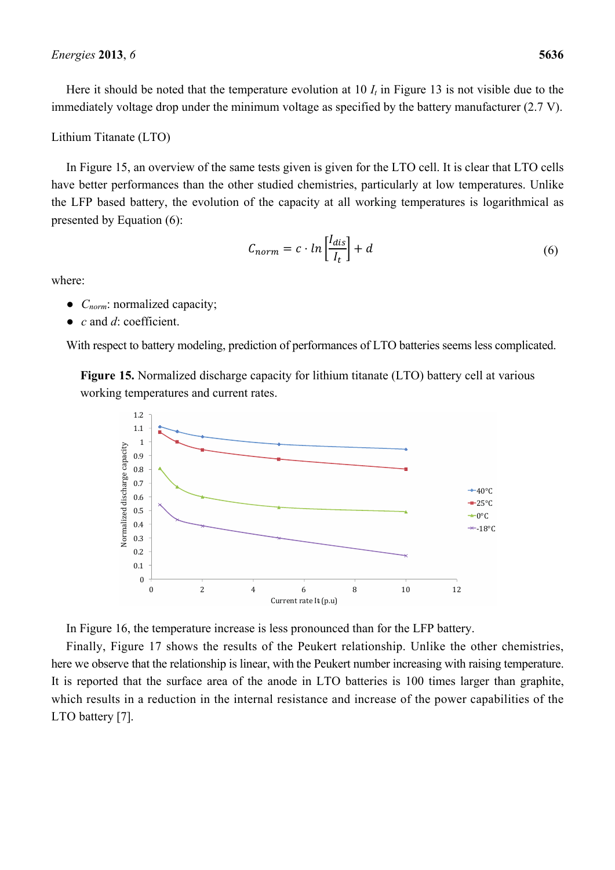## Lithium Titanate (LTO)

In Figure 15, an overview of the same tests given is given for the LTO cell. It is clear that LTO cells have better performances than the other studied chemistries, particularly at low temperatures. Unlike the LFP based battery, the evolution of the capacity at all working temperatures is logarithmical as presented by Equation (6):

$$
C_{norm} = c \cdot \ln\left[\frac{I_{dis}}{I_t}\right] + d \tag{6}
$$

where:

- *C<sub>norm</sub>*: normalized capacity;
- *c* and *d*: coefficient.

With respect to battery modeling, prediction of performances of LTO batteries seems less complicated.

**Figure 15.** Normalized discharge capacity for lithium titanate (LTO) battery cell at various working temperatures and current rates.



In Figure 16, the temperature increase is less pronounced than for the LFP battery.

Finally, Figure 17 shows the results of the Peukert relationship. Unlike the other chemistries, here we observe that the relationship is linear, with the Peukert number increasing with raising temperature. It is reported that the surface area of the anode in LTO batteries is 100 times larger than graphite, which results in a reduction in the internal resistance and increase of the power capabilities of the LTO battery [7].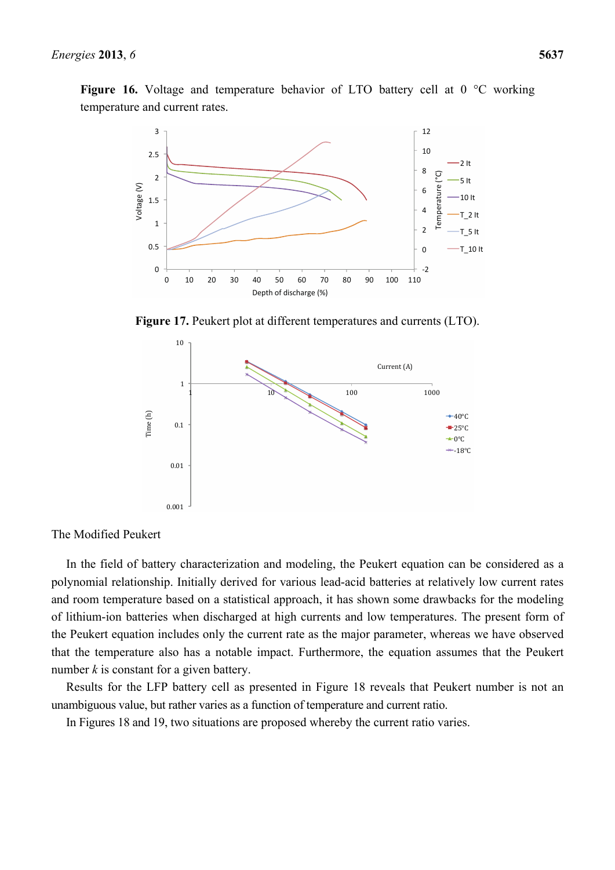Figure 16. Voltage and temperature behavior of LTO battery cell at 0 °C working temperature and current rates.



**Figure 17.** Peukert plot at different temperatures and currents (LTO).



The Modified Peukert

In the field of battery characterization and modeling, the Peukert equation can be considered as a polynomial relationship. Initially derived for various lead-acid batteries at relatively low current rates and room temperature based on a statistical approach, it has shown some drawbacks for the modeling of lithium-ion batteries when discharged at high currents and low temperatures. The present form of the Peukert equation includes only the current rate as the major parameter, whereas we have observed that the temperature also has a notable impact. Furthermore, the equation assumes that the Peukert number *k* is constant for a given battery.

Results for the LFP battery cell as presented in Figure 18 reveals that Peukert number is not an unambiguous value, but rather varies as a function of temperature and current ratio.

In Figures 18 and 19, two situations are proposed whereby the current ratio varies.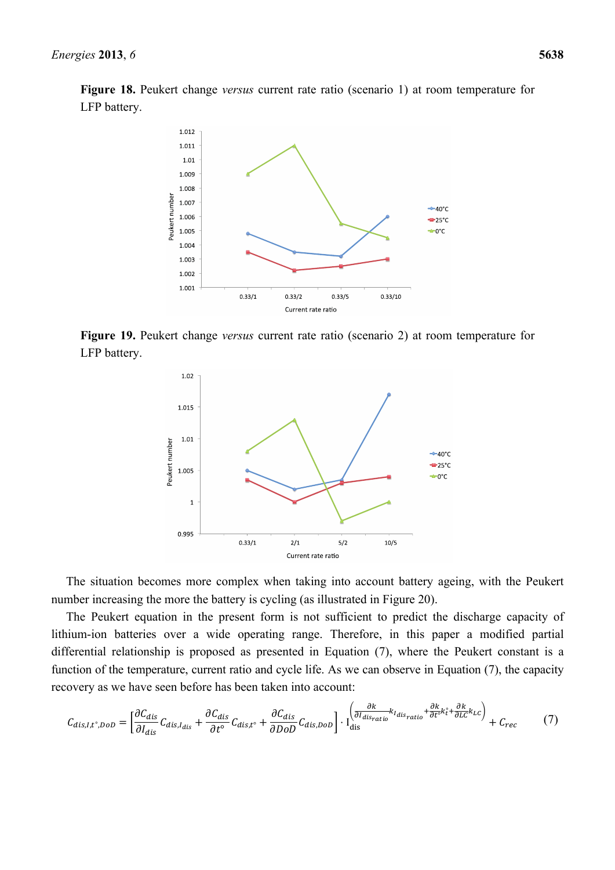**Figure 18.** Peukert change *versus* current rate ratio (scenario 1) at room temperature for LFP battery.



**Figure 19.** Peukert change *versus* current rate ratio (scenario 2) at room temperature for LFP battery.



The situation becomes more complex when taking into account battery ageing, with the Peukert number increasing the more the battery is cycling (as illustrated in Figure 20).

The Peukert equation in the present form is not sufficient to predict the discharge capacity of lithium-ion batteries over a wide operating range. Therefore, in this paper a modified partial differential relationship is proposed as presented in Equation (7), where the Peukert constant is a function of the temperature, current ratio and cycle life. As we can observe in Equation (7), the capacity recovery as we have seen before has been taken into account:

$$
C_{dis,I,t^{\circ},D_{OD}} = \left[\frac{\partial C_{dis}}{\partial I_{dis}}C_{dis,I_{dis}} + \frac{\partial C_{dis}}{\partial t^{\circ}}C_{dis,t^{\circ}} + \frac{\partial C_{dis}}{\partial D_{OD}}C_{dis,D_{OD}}\right] \cdot \left[\frac{\frac{\partial k}{\partial I_{dis}}k_{I_{dis}}k_{I_{dis}} + \frac{\partial k}{\partial t^{\circ}}k_{t}^{\circ} + \frac{\partial k}{\partial L_{C}}k_{LC}}{\frac{\partial k}{\partial t^{\circ}}} + C_{rec}\right]
$$
(7)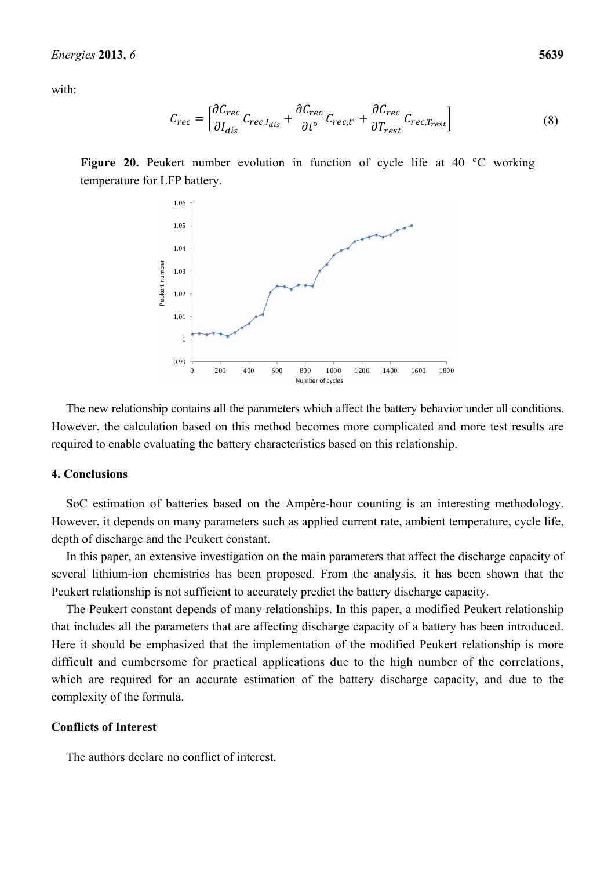with:

$$
C_{rec} = \left[ \frac{\partial C_{rec}}{\partial I_{dis}} C_{rec, I_{dis}} + \frac{\partial C_{rec}}{\partial t^{\circ}} C_{rec, t^{\circ}} + \frac{\partial C_{rec}}{\partial T_{rest}} C_{rec, T_{rest}} \right]
$$
(8)

**Figure 20.** Peukert number evolution in function of cycle life at 40 °C working temperature for LFP battery.



The new relationship contains all the parameters which affect the battery behavior under all conditions. However, the calculation based on this method becomes more complicated and more test results are required to enable evaluating the battery characteristics based on this relationship.

#### **4. Conclusions**

SoC estimation of batteries based on the Ampère-hour counting is an interesting methodology. However, it depends on many parameters such as applied current rate, ambient temperature, cycle life, depth of discharge and the Peukert constant.

In this paper, an extensive investigation on the main parameters that affect the discharge capacity of several lithium-ion chemistries has been proposed. From the analysis, it has been shown that the Peukert relationship is not sufficient to accurately predict the battery discharge capacity.

The Peukert constant depends of many relationships. In this paper, a modified Peukert relationship that includes all the parameters that are affecting discharge capacity of a battery has been introduced. Here it should be emphasized that the implementation of the modified Peukert relationship is more difficult and cumbersome for practical applications due to the high number of the correlations, which are required for an accurate estimation of the battery discharge capacity, and due to the complexity of the formula.

#### **Conflicts of Interest**

The authors declare no conflict of interest.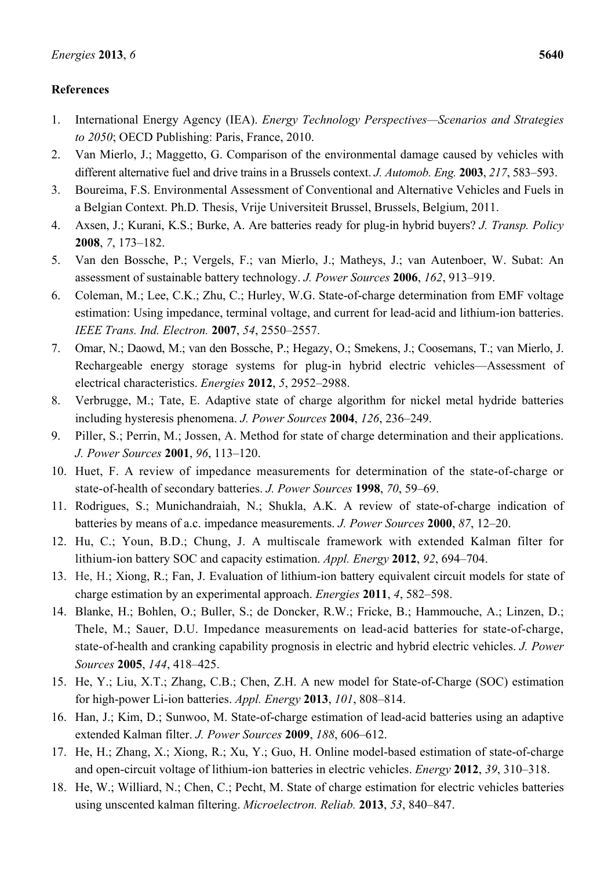# **References**

- 1. International Energy Agency (IEA). *Energy Technology Perspectives—Scenarios and Strategies to 2050*; OECD Publishing: Paris, France, 2010.
- 2. Van Mierlo, J.; Maggetto, G. Comparison of the environmental damage caused by vehicles with different alternative fuel and drive trains in a Brussels context. *J. Automob. Eng.* **2003**, *217*, 583–593.
- 3. Boureima, F.S. Environmental Assessment of Conventional and Alternative Vehicles and Fuels in a Belgian Context. Ph.D. Thesis, Vrije Universiteit Brussel, Brussels, Belgium, 2011.
- 4. Axsen, J.; Kurani, K.S.; Burke, A. Are batteries ready for plug-in hybrid buyers? *J. Transp. Policy*  **2008**, *7*, 173–182.
- 5. Van den Bossche, P.; Vergels, F.; van Mierlo, J.; Matheys, J.; van Autenboer, W. Subat: An assessment of sustainable battery technology. *J. Power Sources* **2006**, *162*, 913–919.
- 6. Coleman, M.; Lee, C.K.; Zhu, C.; Hurley, W.G. State-of-charge determination from EMF voltage estimation: Using impedance, terminal voltage, and current for lead-acid and lithium-ion batteries. *IEEE Trans. Ind. Electron.* **2007**, *54*, 2550–2557.
- 7. Omar, N.; Daowd, M.; van den Bossche, P.; Hegazy, O.; Smekens, J.; Coosemans, T.; van Mierlo, J. Rechargeable energy storage systems for plug-in hybrid electric vehicles—Assessment of electrical characteristics. *Energies* **2012**, *5*, 2952–2988.
- 8. Verbrugge, M.; Tate, E. Adaptive state of charge algorithm for nickel metal hydride batteries including hysteresis phenomena. *J. Power Sources* **2004**, *126*, 236–249.
- 9. Piller, S.; Perrin, M.; Jossen, A. Method for state of charge determination and their applications. *J. Power Sources* **2001**, *96*, 113–120.
- 10. Huet, F. A review of impedance measurements for determination of the state-of-charge or state-of-health of secondary batteries. *J. Power Sources* **1998**, *70*, 59–69.
- 11. Rodrigues, S.; Munichandraiah, N.; Shukla, A.K. A review of state-of-charge indication of batteries by means of a.c. impedance measurements. *J. Power Sources* **2000**, *87*, 12–20.
- 12. Hu, C.; Youn, B.D.; Chung, J. A multiscale framework with extended Kalman filter for lithium-ion battery SOC and capacity estimation. *Appl. Energy* **2012**, *92*, 694–704.
- 13. He, H.; Xiong, R.; Fan, J. Evaluation of lithium-ion battery equivalent circuit models for state of charge estimation by an experimental approach. *Energies* **2011**, *4*, 582–598.
- 14. Blanke, H.; Bohlen, O.; Buller, S.; de Doncker, R.W.; Fricke, B.; Hammouche, A.; Linzen, D.; Thele, M.; Sauer, D.U. Impedance measurements on lead-acid batteries for state-of-charge, state-of-health and cranking capability prognosis in electric and hybrid electric vehicles. *J. Power Sources* **2005**, *144*, 418–425.
- 15. He, Y.; Liu, X.T.; Zhang, C.B.; Chen, Z.H. A new model for State-of-Charge (SOC) estimation for high-power Li-ion batteries. *Appl. Energy* **2013**, *101*, 808–814.
- 16. Han, J.; Kim, D.; Sunwoo, M. State-of-charge estimation of lead-acid batteries using an adaptive extended Kalman filter. *J. Power Sources* **2009**, *188*, 606–612.
- 17. He, H.; Zhang, X.; Xiong, R.; Xu, Y.; Guo, H. Online model-based estimation of state-of-charge and open-circuit voltage of lithium-ion batteries in electric vehicles. *Energy* **2012**, *39*, 310–318.
- 18. He, W.; Williard, N.; Chen, C.; Pecht, M. State of charge estimation for electric vehicles batteries using unscented kalman filtering. *Microelectron. Reliab.* **2013**, *53*, 840–847.